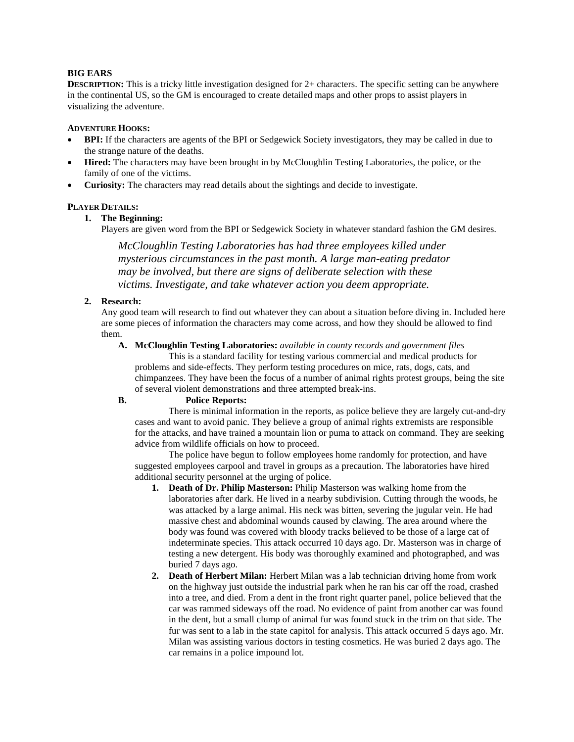# **BIG EARS**

**DESCRIPTION:** This is a tricky little investigation designed for 2+ characters. The specific setting can be anywhere in the continental US, so the GM is encouraged to create detailed maps and other props to assist players in visualizing the adventure.

### **ADVENTURE HOOKS:**

- **BPI:** If the characters are agents of the BPI or Sedgewick Society investigators, they may be called in due to the strange nature of the deaths.
- **Hired:** The characters may have been brought in by McCloughlin Testing Laboratories, the police, or the family of one of the victims.
- **Curiosity:** The characters may read details about the sightings and decide to investigate.

# **PLAYER DETAILS:**

# **1. The Beginning:**

Players are given word from the BPI or Sedgewick Society in whatever standard fashion the GM desires.

*McCloughlin Testing Laboratories has had three employees killed under mysterious circumstances in the past month. A large man-eating predator may be involved, but there are signs of deliberate selection with these victims. Investigate, and take whatever action you deem appropriate.*

# **2. Research:**

Any good team will research to find out whatever they can about a situation before diving in. Included here are some pieces of information the characters may come across, and how they should be allowed to find them.

**A. McCloughlin Testing Laboratories:** *available in county records and government files*

 This is a standard facility for testing various commercial and medical products for problems and side-effects. They perform testing procedures on mice, rats, dogs, cats, and chimpanzees. They have been the focus of a number of animal rights protest groups, being the site of several violent demonstrations and three attempted break-ins.

### **B. Police Reports:**

 There is minimal information in the reports, as police believe they are largely cut-and-dry cases and want to avoid panic. They believe a group of animal rights extremists are responsible for the attacks, and have trained a mountain lion or puma to attack on command. They are seeking advice from wildlife officials on how to proceed.

 The police have begun to follow employees home randomly for protection, and have suggested employees carpool and travel in groups as a precaution. The laboratories have hired additional security personnel at the urging of police.

- **1. Death of Dr. Philip Masterson:** Philip Masterson was walking home from the laboratories after dark. He lived in a nearby subdivision. Cutting through the woods, he was attacked by a large animal. His neck was bitten, severing the jugular vein. He had massive chest and abdominal wounds caused by clawing. The area around where the body was found was covered with bloody tracks believed to be those of a large cat of indeterminate species. This attack occurred 10 days ago. Dr. Masterson was in charge of testing a new detergent. His body was thoroughly examined and photographed, and was buried 7 days ago.
- **2. Death of Herbert Milan:** Herbert Milan was a lab technician driving home from work on the highway just outside the industrial park when he ran his car off the road, crashed into a tree, and died. From a dent in the front right quarter panel, police believed that the car was rammed sideways off the road. No evidence of paint from another car was found in the dent, but a small clump of animal fur was found stuck in the trim on that side. The fur was sent to a lab in the state capitol for analysis. This attack occurred 5 days ago. Mr. Milan was assisting various doctors in testing cosmetics. He was buried 2 days ago. The car remains in a police impound lot.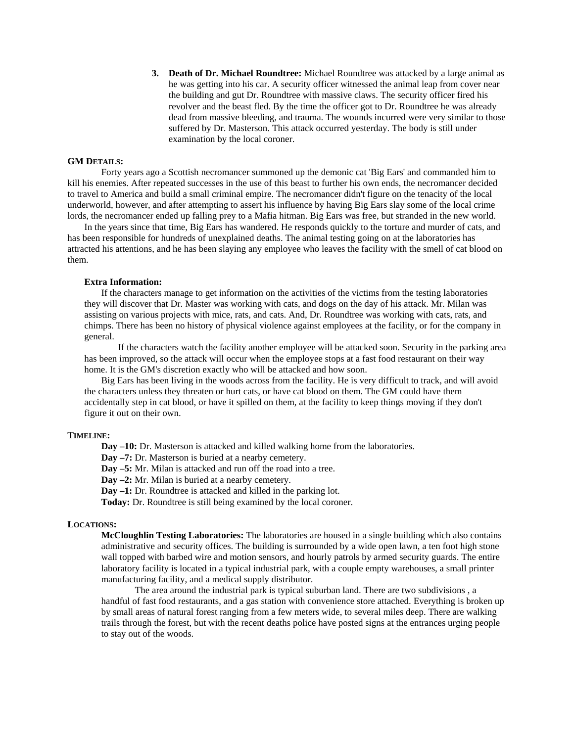**3. Death of Dr. Michael Roundtree:** Michael Roundtree was attacked by a large animal as he was getting into his car. A security officer witnessed the animal leap from cover near the building and gut Dr. Roundtree with massive claws. The security officer fired his revolver and the beast fled. By the time the officer got to Dr. Roundtree he was already dead from massive bleeding, and trauma. The wounds incurred were very similar to those suffered by Dr. Masterson. This attack occurred yesterday. The body is still under examination by the local coroner.

### **GM DETAILS:**

 Forty years ago a Scottish necromancer summoned up the demonic cat 'Big Ears' and commanded him to kill his enemies. After repeated successes in the use of this beast to further his own ends, the necromancer decided to travel to America and build a small criminal empire. The necromancer didn't figure on the tenacity of the local underworld, however, and after attempting to assert his influence by having Big Ears slay some of the local crime lords, the necromancer ended up falling prey to a Mafia hitman. Big Ears was free, but stranded in the new world.

In the years since that time, Big Ears has wandered. He responds quickly to the torture and murder of cats, and has been responsible for hundreds of unexplained deaths. The animal testing going on at the laboratories has attracted his attentions, and he has been slaying any employee who leaves the facility with the smell of cat blood on them.

#### **Extra Information:**

 If the characters manage to get information on the activities of the victims from the testing laboratories they will discover that Dr. Master was working with cats, and dogs on the day of his attack. Mr. Milan was assisting on various projects with mice, rats, and cats. And, Dr. Roundtree was working with cats, rats, and chimps. There has been no history of physical violence against employees at the facility, or for the company in general.

If the characters watch the facility another employee will be attacked soon. Security in the parking area has been improved, so the attack will occur when the employee stops at a fast food restaurant on their way home. It is the GM's discretion exactly who will be attacked and how soon.

Big Ears has been living in the woods across from the facility. He is very difficult to track, and will avoid the characters unless they threaten or hurt cats, or have cat blood on them. The GM could have them accidentally step in cat blood, or have it spilled on them, at the facility to keep things moving if they don't figure it out on their own.

### **TIMELINE:**

 **Day –10:** Dr. Masterson is attacked and killed walking home from the laboratories.

**Day –7:** Dr. Masterson is buried at a nearby cemetery.

**Day –5:** Mr. Milan is attacked and run off the road into a tree.

**Day –2:** Mr. Milan is buried at a nearby cemetery.

**Day –1:** Dr. Roundtree is attacked and killed in the parking lot.

**Today:** Dr. Roundtree is still being examined by the local coroner.

### **LOCATIONS:**

**McCloughlin Testing Laboratories:** The laboratories are housed in a single building which also contains administrative and security offices. The building is surrounded by a wide open lawn, a ten foot high stone wall topped with barbed wire and motion sensors, and hourly patrols by armed security guards. The entire laboratory facility is located in a typical industrial park, with a couple empty warehouses, a small printer manufacturing facility, and a medical supply distributor.

 The area around the industrial park is typical suburban land. There are two subdivisions , a handful of fast food restaurants, and a gas station with convenience store attached. Everything is broken up by small areas of natural forest ranging from a few meters wide, to several miles deep. There are walking trails through the forest, but with the recent deaths police have posted signs at the entrances urging people to stay out of the woods.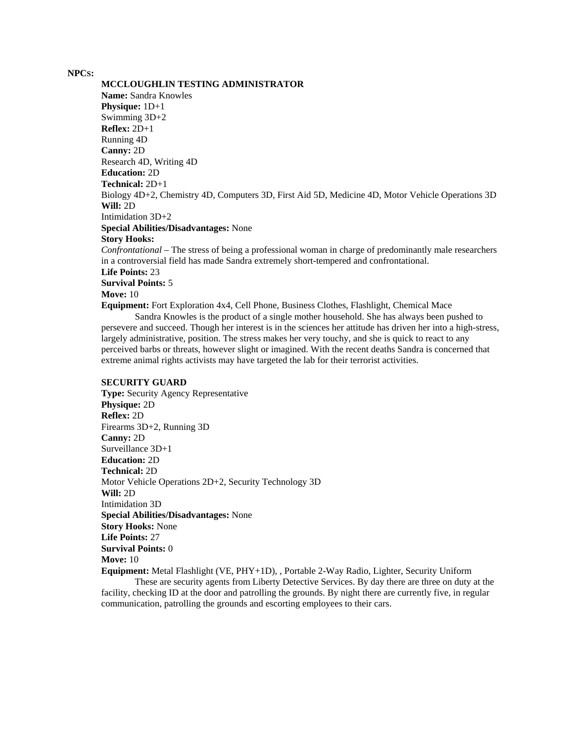### **NPCS:**

**MCCLOUGHLIN TESTING ADMINISTRATOR Name:** Sandra Knowles **Physique:** 1D+1 Swimming 3D+2 **Reflex:** 2D+1 Running 4D **Canny:** 2D Research 4D, Writing 4D **Education:** 2D **Technical:** 2D+1 Biology 4D+2, Chemistry 4D, Computers 3D, First Aid 5D, Medicine 4D, Motor Vehicle Operations 3D **Will:** 2D Intimidation 3D+2 **Special Abilities/Disadvantages:** None **Story Hooks:** *Confrontational* – The stress of being a professional woman in charge of predominantly male researchers in a controversial field has made Sandra extremely short-tempered and confrontational. **Life Points:** 23 **Survival Points:** 5 **Move:** 10 **Equipment:** Fort Exploration 4x4, Cell Phone, Business Clothes, Flashlight, Chemical Mace Sandra Knowles is the product of a single mother household. She has always been pushed to

persevere and succeed. Though her interest is in the sciences her attitude has driven her into a high-stress, largely administrative, position. The stress makes her very touchy, and she is quick to react to any perceived barbs or threats, however slight or imagined. With the recent deaths Sandra is concerned that extreme animal rights activists may have targeted the lab for their terrorist activities.

#### **SECURITY GUARD**

**Type:** Security Agency Representative **Physique:** 2D **Reflex:** 2D Firearms 3D+2, Running 3D **Canny:** 2D Surveillance 3D+1 **Education:** 2D **Technical:** 2D Motor Vehicle Operations 2D+2, Security Technology 3D **Will:** 2D Intimidation 3D **Special Abilities/Disadvantages:** None **Story Hooks:** None **Life Points:** 27 **Survival Points:** 0 **Move:** 10 **Equipment:** Metal Flashlight (VE, PHY+1D), , Portable 2-Way Radio, Lighter, Security Uniform

These are security agents from Liberty Detective Services. By day there are three on duty at the facility, checking ID at the door and patrolling the grounds. By night there are currently five, in regular communication, patrolling the grounds and escorting employees to their cars.